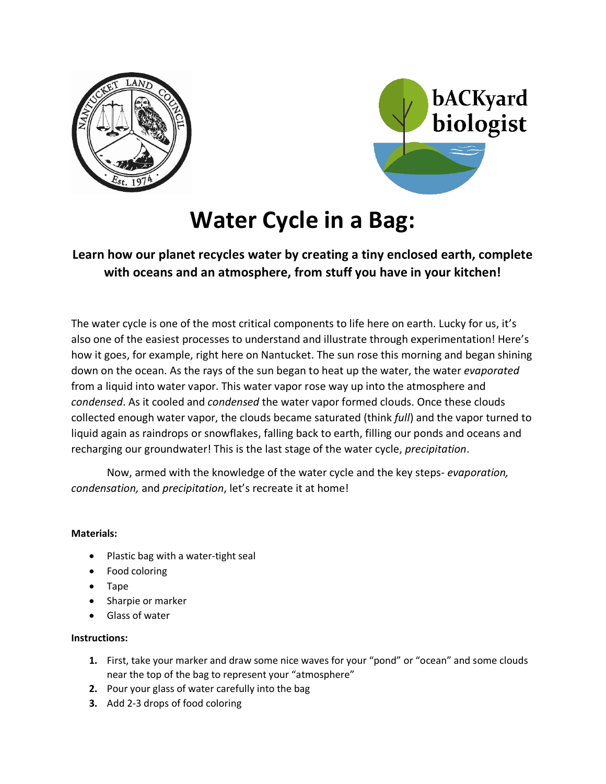



# **Water Cycle in a Bag:**

# **Learn how our planet recycles water by creating a tiny enclosed earth, complete with oceans and an atmosphere, from stuff you have in your kitchen!**

The water cycle is one of the most critical components to life here on earth. Lucky for us, it's also one of the easiest processes to understand and illustrate through experimentation! Here's how it goes, for example, right here on Nantucket. The sun rose this morning and began shining down on the ocean. As the rays of the sun began to heat up the water, the water *evaporated*  from a liquid into water vapor. This water vapor rose way up into the atmosphere and *condensed*. As it cooled and *condensed* the water vapor formed clouds. Once these clouds collected enough water vapor, the clouds became saturated (think *full*) and the vapor turned to liquid again as raindrops or snowflakes, falling back to earth, filling our ponds and oceans and recharging our groundwater! This is the last stage of the water cycle, *precipitation*.

Now, armed with the knowledge of the water cycle and the key steps- *evaporation, condensation,* and *precipitation*, let's recreate it at home!

## **Materials:**

- Plastic bag with a water-tight seal
- Food coloring
- Tape
- Sharpie or marker
- Glass of water

### **Instructions:**

- **1.** First, take your marker and draw some nice waves for your "pond" or "ocean" and some clouds near the top of the bag to represent your "atmosphere"
- **2.** Pour your glass of water carefully into the bag
- **3.** Add 2-3 drops of food coloring